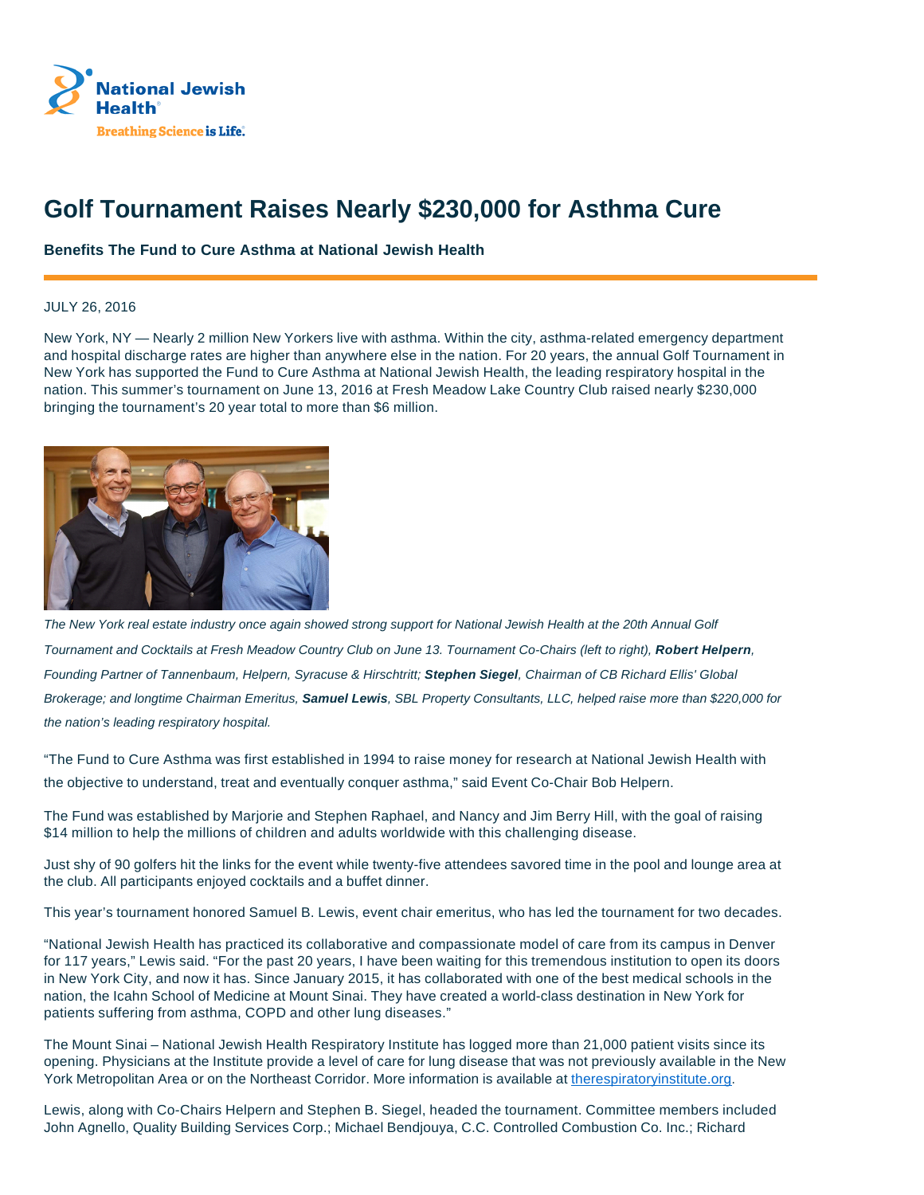

## **Golf Tournament Raises Nearly \$230,000 for Asthma Cure**

**Benefits The Fund to Cure Asthma at National Jewish Health**

## JULY 26, 2016

New York, NY — Nearly 2 million New Yorkers live with asthma. Within the city, asthma-related emergency department and hospital discharge rates are higher than anywhere else in the nation. For 20 years, the annual Golf Tournament in New York has supported the Fund to Cure Asthma at National Jewish Health, the leading respiratory hospital in the nation. This summer's tournament on June 13, 2016 at Fresh Meadow Lake Country Club raised nearly \$230,000 bringing the tournament's 20 year total to more than \$6 million.



The New York real estate industry once again showed strong support for National Jewish Health at the 20th Annual Golf Tournament and Cocktails at Fresh Meadow Country Club on June 13. Tournament Co-Chairs (left to right), **Robert Helpern**, Founding Partner of Tannenbaum, Helpern, Syracuse & Hirschtritt; **Stephen Siegel**, Chairman of CB Richard Ellis' Global Brokerage; and longtime Chairman Emeritus, **Samuel Lewis**, SBL Property Consultants, LLC, helped raise more than \$220,000 for the nation's leading respiratory hospital.

"The Fund to Cure Asthma was first established in 1994 to raise money for research at National Jewish Health with the objective to understand, treat and eventually conquer asthma," said Event Co-Chair Bob Helpern.

The Fund was established by Marjorie and Stephen Raphael, and Nancy and Jim Berry Hill, with the goal of raising \$14 million to help the millions of children and adults worldwide with this challenging disease.

Just shy of 90 golfers hit the links for the event while twenty-five attendees savored time in the pool and lounge area at the club. All participants enjoyed cocktails and a buffet dinner.

This year's tournament honored Samuel B. Lewis, event chair emeritus, who has led the tournament for two decades.

"National Jewish Health has practiced its collaborative and compassionate model of care from its campus in Denver for 117 years," Lewis said. "For the past 20 years, I have been waiting for this tremendous institution to open its doors in New York City, and now it has. Since January 2015, it has collaborated with one of the best medical schools in the nation, the Icahn School of Medicine at Mount Sinai. They have created a world-class destination in New York for patients suffering from asthma, COPD and other lung diseases."

The Mount Sinai – National Jewish Health Respiratory Institute has logged more than 21,000 patient visits since its opening. Physicians at the Institute provide a level of care for lung disease that was not previously available in the New York Metropolitan Area or on the Northeast Corridor. More information is available at therespiratoryinstitute.org.

Lewis, along with Co-Chairs Helpern and Stephen B. Siegel, headed the tournament. Committee members included John Agnello, Quality Building Services Corp.; Michael Bendjouya, C.C. Controlled Combustion Co. Inc.; Richard